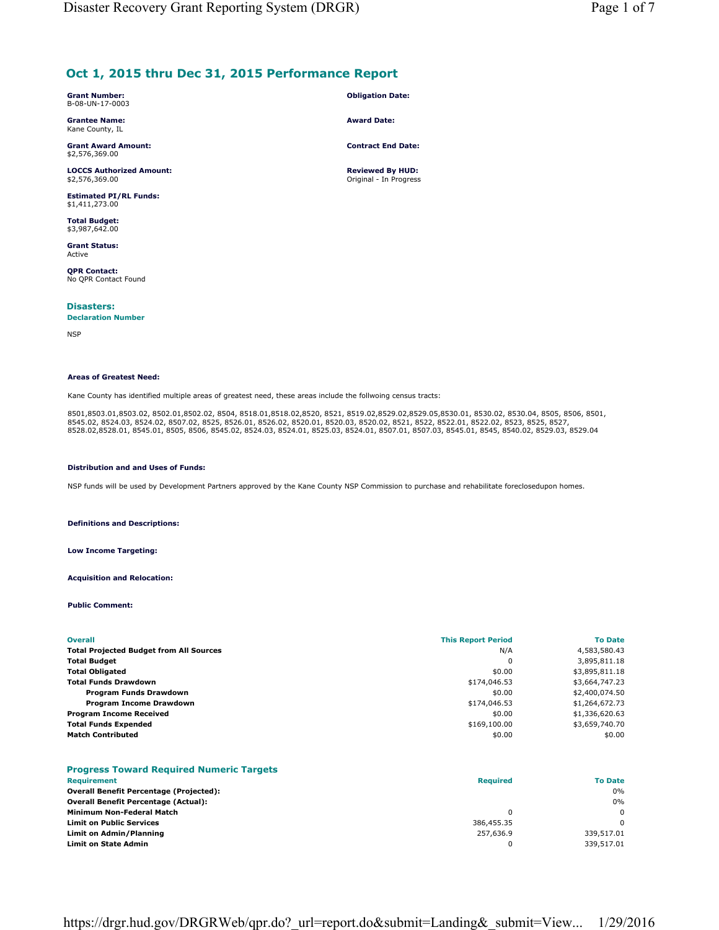# **Oct 1, 2015 thru Dec 31, 2015 Performance Report**

| <b>Grant Number:</b> |
|----------------------|
| B-08-UN-17-0003      |

**Grantee Name:** Kane County, IL

**Grant Award Amount:** \$2,576,369.00

**LOCCS Authorized Amount:** \$2,576,369.00

**Estimated PI/RL Funds:** \$1,411,273.00

**Total Budget:** \$3,987,642.00

**Grant Status:** Active

**QPR Contact:** No QPR Contact Found

**Disasters:** 

## **Declaration Number**

NSP

#### **Areas of Greatest Need:**

Kane County has identified multiple areas of greatest need, these areas include the follwoing census tracts:

8501,8503.01,8503.02, 8502.01,8502.02, 8504, 8518.01,8518.02,8520, 8521, 8519.02,8529.02,8529.05,8530.01, 8530.02, 8530.04, 8505, 8506, 8501,<br>8545.02, 8524.03, 8524.02, 8507.02, 8525, 8526.01, 8526.02, 8520.01, 8520.03, 85

#### **Distribution and and Uses of Funds:**

NSP funds will be used by Development Partners approved by the Kane County NSP Commission to purchase and rehabilitate foreclosedupon homes.

**Definitions and Descriptions:**

#### **Low Income Targeting:**

**Acquisition and Relocation:**

**Public Comment:**

| <b>Overall</b>                                 | <b>This Report Period</b> | <b>To Date</b> |
|------------------------------------------------|---------------------------|----------------|
| <b>Total Projected Budget from All Sources</b> | N/A                       | 4,583,580.43   |
| <b>Total Budget</b>                            | 0                         | 3,895,811.18   |
| <b>Total Obligated</b>                         | \$0.00                    | \$3,895,811.18 |
| <b>Total Funds Drawdown</b>                    | \$174,046.53              | \$3,664,747.23 |
| Program Funds Drawdown                         | \$0.00                    | \$2,400,074.50 |
| Program Income Drawdown                        | \$174,046.53              | \$1,264,672.73 |
| <b>Program Income Received</b>                 | \$0.00                    | \$1,336,620.63 |
| <b>Total Funds Expended</b>                    | \$169,100.00              | \$3,659,740.70 |
| <b>Match Contributed</b>                       | \$0.00                    | \$0.00         |

## **Progress Toward Required Numeric Targets**

| Requirement                                    | <b>Required</b> | <b>To Date</b> |
|------------------------------------------------|-----------------|----------------|
| <b>Overall Benefit Percentage (Projected):</b> |                 | 0%             |
| <b>Overall Benefit Percentage (Actual):</b>    |                 | 0%             |
| Minimum Non-Federal Match                      |                 | $\Omega$       |
| <b>Limit on Public Services</b>                | 386,455.35      | $\Omega$       |
| Limit on Admin/Planning                        | 257,636.9       | 339,517.01     |
| <b>Limit on State Admin</b>                    |                 | 339,517.01     |

# https://drgr.hud.gov/DRGRWeb/qpr.do?\_url=report.do&submit=Landing&\_submit=View... 1/29/2016

**Obligation Date: Award Date:**

**Contract End Date:**

**Reviewed By HUD:** Original - In Progress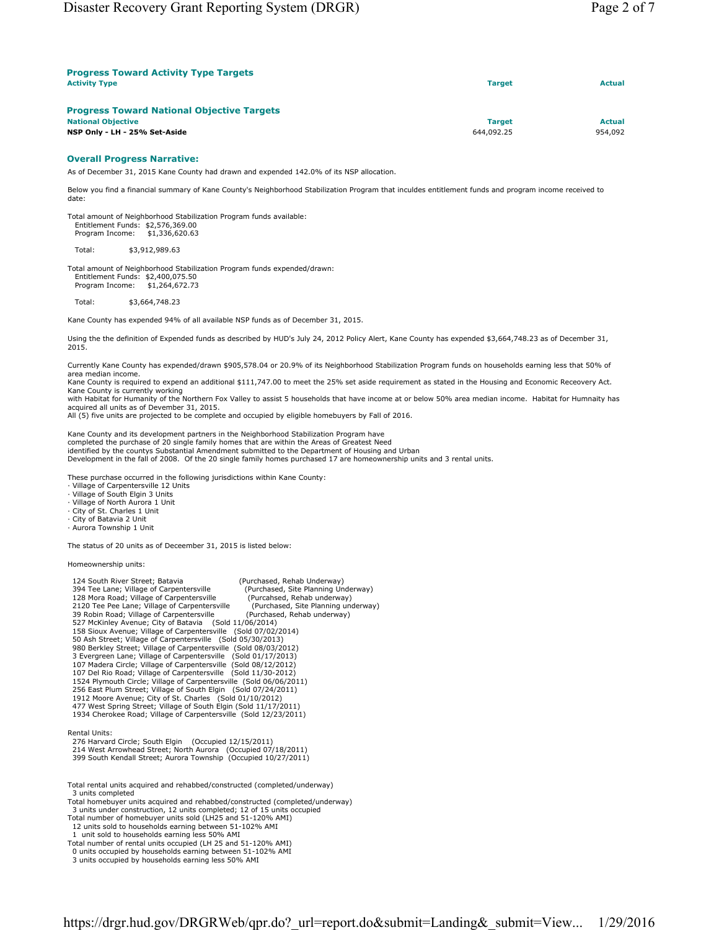| <b>Progress Toward Activity Type Targets</b>      |               |               |  |
|---------------------------------------------------|---------------|---------------|--|
| <b>Activity Type</b>                              | <b>Target</b> | <b>Actual</b> |  |
| <b>Progress Toward National Objective Targets</b> |               |               |  |
| <b>National Objective</b>                         | <b>Target</b> | <b>Actual</b> |  |
| NSP Only - LH - 25% Set-Aside                     | 644,092.25    | 954,092       |  |

#### **Overall Progress Narrative:**

As of December 31, 2015 Kane County had drawn and expended 142.0% of its NSP allocation.

Below you find a financial summary of Kane County's Neighborhood Stabilization Program that inculdes entitlement funds and program income received to date:

Total amount of Neighborhood Stabilization Program funds available: Entitlement Funds: \$2,576,369.00 Program Income: \$1,336,620.63

Total: \$3,912,989.63

Total amount of Neighborhood Stabilization Program funds expended/drawn: Entitlement Funds: \$2,400,075.50 Program Income: \$1,264,672.73

Total: \$3,664,748.23

Kane County has expended 94% of all available NSP funds as of December 31, 2015.

Using the the definition of Expended funds as described by HUD's July 24, 2012 Policy Alert, Kane County has expended \$3,664,748.23 as of December 31, 2015.

Currently Kane County has expended/drawn \$905,578.04 or 20.9% of its Neighborhood Stabilization Program funds on households earning less that 50% of area median income.

Kane County is required to expend an additional \$111,747.00 to meet the 25% set aside requirement as stated in the Housing and Economic Receovery Act. Kane County is currently working

with Habitat for Humanity of the Northern Fox Valley to assist 5 households that have income at or below 50% area median income. Habitat for Humnaity has acquired all units as of Devember 31, 2015.

All (5) five units are projected to be complete and occupied by eligible homebuyers by Fall of 2016.

Kane County and its development partners in the Neighborhood Stabilization Program have

completed the purchase of 20 single family homes that are within the Areas of Greatest Need<br>identified by the countys Substantial Amendment submitted to the Department of Housing and Urban<br>Development in the fall of 2008.

These purchase occurred in the following jurisdictions within Kane County:

· Village of Carpentersville 12 Units

· Village of South Elgin 3 Units

· Village of North Aurora 1 Unit

· City of St. Charles 1 Unit · City of Batavia 2 Unit

· Aurora Township 1 Unit

The status of 20 units as of Deceember 31, 2015 is listed below:

Homeownership units:

| 124 South River Street: Batavia                                    | (Purchased, Rehab Underway)         |
|--------------------------------------------------------------------|-------------------------------------|
| 394 Tee Lane; Village of Carpentersville                           | (Purchased, Site Planning Underway) |
| 128 Mora Road; Village of Carpentersville                          | (Purcahsed, Rehab underway)         |
| 2120 Tee Pee Lane; Village of Carpentersville                      | (Purchased, Site Planning underway) |
| 39 Robin Road; Village of Carpentersville                          | (Purchased, Rehab underway)         |
| 527 McKinley Avenue; City of Batavia (Sold 11/06/2014)             |                                     |
| 158 Sioux Avenue; Village of Carpentersville (Sold 07/02/2014)     |                                     |
| 50 Ash Street; Village of Carpentersville (Sold 05/30/2013)        |                                     |
| 980 Berkley Street; Village of Carpentersville (Sold 08/03/2012)   |                                     |
| 3 Evergreen Lane; Village of Carpentersville (Sold 01/17/2013)     |                                     |
| 107 Madera Circle; Village of Carpentersville (Sold 08/12/2012)    |                                     |
| 107 Del Rio Road; Village of Carpentersville (Sold 11/30-2012)     |                                     |
| 1524 Plymouth Circle; Village of Carpentersville (Sold 06/06/2011) |                                     |
| 256 East Plum Street; Village of South Elgin (Sold 07/24/2011)     |                                     |
| 1912 Moore Avenue; City of St. Charles (Sold 01/10/2012)           |                                     |
| 477 West Spring Street; Village of South Elgin (Sold 11/17/2011)   |                                     |
| 1934 Cherokee Road; Village of Carpentersville (Sold 12/23/2011)   |                                     |
|                                                                    |                                     |
| Rental Units:                                                      |                                     |

Rental Units: 276 Harvard Circle; South Elgin (Occupied 12/15/2011) 214 West Arrowhead Street; North Aurora (Occupied 07/18/2011) 399 South Kendall Street; Aurora Township (Occupied 10/27/2011)

Total rental units acquired and rehabbed/constructed (completed/underway) 3 units completed

Total homebuyer units acquired and rehabbed/constructed (completed/underway)

3 units under construction, 12 units completed; 12 of 15 units occupied Total number of homebuyer units sold (LH25 and 51-120% AMI)

12 units sold to households earning between 51-102% AMI 1 unit sold to households earning less 50% AMI

Total number of rental units occupied (LH 25 and 51-120% AMI)

0 units occupied by households earning between 51-102% AMI

3 units occupied by households earning less 50% AMI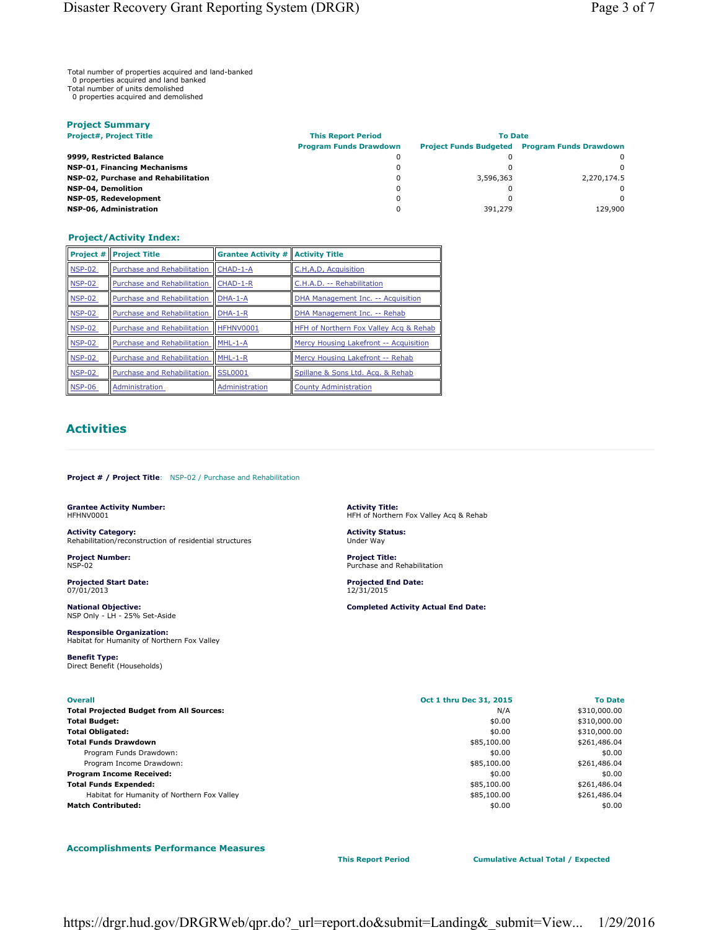Total number of properties acquired and land-banked

0 properties acquired and land banked

Total number of units demolished 0 properties acquired and demolished

| <b>Project Summary</b>              |                               |                |                                                      |  |  |  |
|-------------------------------------|-------------------------------|----------------|------------------------------------------------------|--|--|--|
| <b>Project#, Project Title</b>      | <b>This Report Period</b>     | <b>To Date</b> |                                                      |  |  |  |
|                                     | <b>Program Funds Drawdown</b> |                | <b>Project Funds Budgeted Program Funds Drawdown</b> |  |  |  |
| 9999, Restricted Balance            | 0                             |                | <sup>0</sup>                                         |  |  |  |
| <b>NSP-01, Financing Mechanisms</b> | 0                             |                | <sup>0</sup>                                         |  |  |  |
| NSP-02, Purchase and Rehabilitation | 0                             | 3,596,363      | 2.270.174.5                                          |  |  |  |
| <b>NSP-04, Demolition</b>           | 0                             |                | <sup>0</sup>                                         |  |  |  |
| NSP-05, Redevelopment               | 0                             |                | <sup>0</sup>                                         |  |  |  |
| NSP-06, Administration              |                               | 391,279        | 129,900                                              |  |  |  |

### **Project/Activity Index:**

| Project #     | <b>Project Title</b>        | <b>Grantee Activity #</b> | <b>Activity Title</b>                  |
|---------------|-----------------------------|---------------------------|----------------------------------------|
| <b>NSP-02</b> | Purchase and Rehabilitation | CHAD-1-A                  | C.H,A,D, Acquisition                   |
| <b>NSP-02</b> | Purchase and Rehabilitation | CHAD-1-R                  | C.H.A.D. -- Rehabilitation             |
| <b>NSP-02</b> | Purchase and Rehabilitation | $DHA-1-A$                 | DHA Management Inc. -- Acquisition     |
| <b>NSP-02</b> | Purchase and Rehabilitation | $DHA-1-R$                 | DHA Management Inc. -- Rehab           |
| <b>NSP-02</b> | Purchase and Rehabilitation | HFHNV0001                 | HFH of Northern Fox Valley Acq & Rehab |
| <b>NSP-02</b> | Purchase and Rehabilitation | MHL-1-A                   | Mercy Housing Lakefront -- Acquisition |
| <b>NSP-02</b> | Purchase and Rehabilitation | MHL-1-R                   | Mercy Housing Lakefront -- Rehab       |
| <b>NSP-02</b> | Purchase and Rehabilitation | <b>SSL0001</b>            | Spillane & Sons Ltd. Acq. & Rehab      |
| <b>NSP-06</b> | Administration              | Administration            | <b>County Administration</b>           |

# **Activities**

**Project # / Project Title**: NSP-02 / Purchase and Rehabilitation

**Grantee Activity Number:** HFHNV0001

**Activity Category:** Rehabilitation/reconstruction of residential structures

**Project Number:** NSP-02

**Projected Start Date:** 07/01/2013

**National Objective:** NSP Only - LH - 25% Set-Aside

**Responsible Organization:** Habitat for Humanity of Northern Fox Valley

**Benefit Type:** Direct Benefit (Households)

**Activity Title:** HFH of Northern Fox Valley Acq & Rehab

**Activity Status:** Under Way

**Project Title:** Purchase and Rehabilitation

**Projected End Date:** 12/31/2015

**Completed Activity Actual End Date:**

| <b>Overall</b>                                  | Oct 1 thru Dec 31, 2015 | <b>To Date</b> |
|-------------------------------------------------|-------------------------|----------------|
| <b>Total Projected Budget from All Sources:</b> | N/A                     | \$310,000.00   |
| <b>Total Budget:</b>                            | \$0.00                  | \$310,000.00   |
| <b>Total Obligated:</b>                         | \$0.00                  | \$310,000.00   |
| <b>Total Funds Drawdown</b>                     | \$85,100.00             | \$261,486.04   |
| Program Funds Drawdown:                         | \$0.00                  | \$0.00         |
| Program Income Drawdown:                        | \$85,100.00             | \$261,486.04   |
| <b>Program Income Received:</b>                 | \$0.00                  | \$0.00         |
| <b>Total Funds Expended:</b>                    | \$85,100.00             | \$261,486.04   |
| Habitat for Humanity of Northern Fox Valley     | \$85,100.00             | \$261,486.04   |
| <b>Match Contributed:</b>                       | \$0.00                  | \$0.00         |

**Accomplishments Performance Measures**

**This Report Period Cumulative Actual Total / Expected**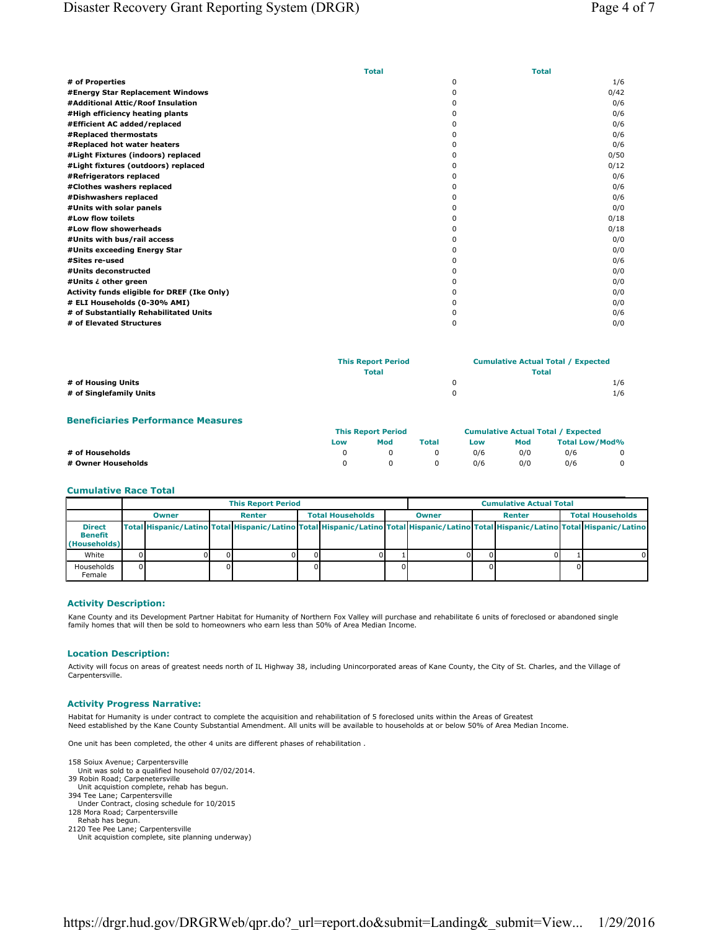|                                             | <b>Total</b> | <b>Total</b> |
|---------------------------------------------|--------------|--------------|
| # of Properties                             | $\Omega$     | 1/6          |
| #Energy Star Replacement Windows            | <sup>0</sup> | 0/42         |
| #Additional Attic/Roof Insulation           | ŋ            | 0/6          |
| #High efficiency heating plants             |              | 0/6          |
| #Efficient AC added/replaced                |              | 0/6          |
| #Replaced thermostats                       |              | 0/6          |
| #Replaced hot water heaters                 |              | 0/6          |
| #Light Fixtures (indoors) replaced          |              | 0/50         |
| #Light fixtures (outdoors) replaced         |              | 0/12         |
| #Refrigerators replaced                     |              | 0/6          |
| #Clothes washers replaced                   | ŋ            | 0/6          |
| #Dishwashers replaced                       | 0            | 0/6          |
| #Units with solar panels                    | ŋ            | 0/0          |
| #Low flow toilets                           | 0            | 0/18         |
| #Low flow showerheads                       | ŋ            | 0/18         |
| #Units with bus/rail access                 | ŋ            | 0/0          |
| #Units exceeding Energy Star                |              | 0/0          |
| #Sites re-used                              |              | 0/6          |
| #Units deconstructed                        |              | 0/0          |
| #Units ¿ other green                        |              | 0/0          |
| Activity funds eligible for DREF (Ike Only) |              | 0/0          |
| # ELI Households (0-30% AMI)                |              | 0/0          |
| # of Substantially Rehabilitated Units      |              | 0/6          |
| # of Elevated Structures                    | $\Omega$     | 0/0          |

|                         | <b>This Report Period</b><br><b>Total</b> | <b>Cumulative Actual Total / Expected</b><br><b>Total</b> |
|-------------------------|-------------------------------------------|-----------------------------------------------------------|
| # of Housing Units      |                                           | 1/6                                                       |
| # of Singlefamily Units |                                           | 1/6                                                       |

#### **Beneficiaries Performance Measures**

|                    | <b>This Report Period</b> |          |              | <b>Cumulative Actual Total / Expected</b> |     |                |                |
|--------------------|---------------------------|----------|--------------|-------------------------------------------|-----|----------------|----------------|
|                    | Low                       | Mod      | Total        | Low                                       | Mod | Total Low/Mod% |                |
| # of Households    |                           |          |              | 0/6                                       | 0/0 | 0/6            | $\mathbf{0}$   |
| # Owner Households |                           | $\Omega$ | $\mathbf{0}$ | 0/6                                       | 0/0 | 0/6            | $\overline{0}$ |

#### **Cumulative Race Total**

|                                          | <b>This Report Period</b> |       |        |  |                         | <b>Cumulative Actual Total</b> |  |  |  |  |  |                                                                                                                                     |  |                         |
|------------------------------------------|---------------------------|-------|--------|--|-------------------------|--------------------------------|--|--|--|--|--|-------------------------------------------------------------------------------------------------------------------------------------|--|-------------------------|
|                                          |                           | Owner | Renter |  | <b>Total Households</b> |                                |  |  |  |  |  | Renter                                                                                                                              |  | <b>Total Households</b> |
| <b>Direct</b><br>Benefit<br>(Households) |                           |       |        |  |                         |                                |  |  |  |  |  | Total Hispanic/Latino Total Hispanic/Latino Total Hispanic/Latino Total Hispanic/Latino Total Hispanic/Latino Total Hispanic/Latino |  |                         |
| White                                    |                           |       |        |  |                         |                                |  |  |  |  |  |                                                                                                                                     |  |                         |
| Households<br>Female                     |                           |       |        |  |                         |                                |  |  |  |  |  |                                                                                                                                     |  |                         |

#### **Activity Description:**

Kane County and its Development Partner Habitat for Humanity of Northern Fox Valley will purchase and rehabilitate 6 units of foreclosed or abandoned single family homes that will then be sold to homeowners who earn less than 50% of Area Median Income.

### **Location Description:**

Activity will focus on areas of greatest needs north of IL Highway 38, including Unincorporated areas of Kane County, the City of St. Charles, and the Village of Carpentersville.

## **Activity Progress Narrative:**

Habitat for Humanity is under contract to complete the acquisition and rehabilitation of 5 foreclosed units within the Areas of Greatest Need established by the Kane County Substantial Amendment. All units will be available to households at or below 50% of Area Median Income.

One unit has been completed, the other 4 units are different phases of rehabilitation .

158 Soiux Avenue; Carpentersville

- Unit was sold to a qualified household 07/02/2014. 39 Robin Road; Carpenetersville
- Unit acquistion complete, rehab has begun.
- 394 Tee Lane; Carpentersville
- Under Contract, closing schedule for 10/2015 128 Mora Road; Carpentersville
- 
- Rehab has begun. 2120 Tee Pee Lane; Carpentersville
- Unit acquistion complete, site planning underway)

https://drgr.hud.gov/DRGRWeb/qpr.do? url=report.do&submit=Landing& submit=View... 1/29/2016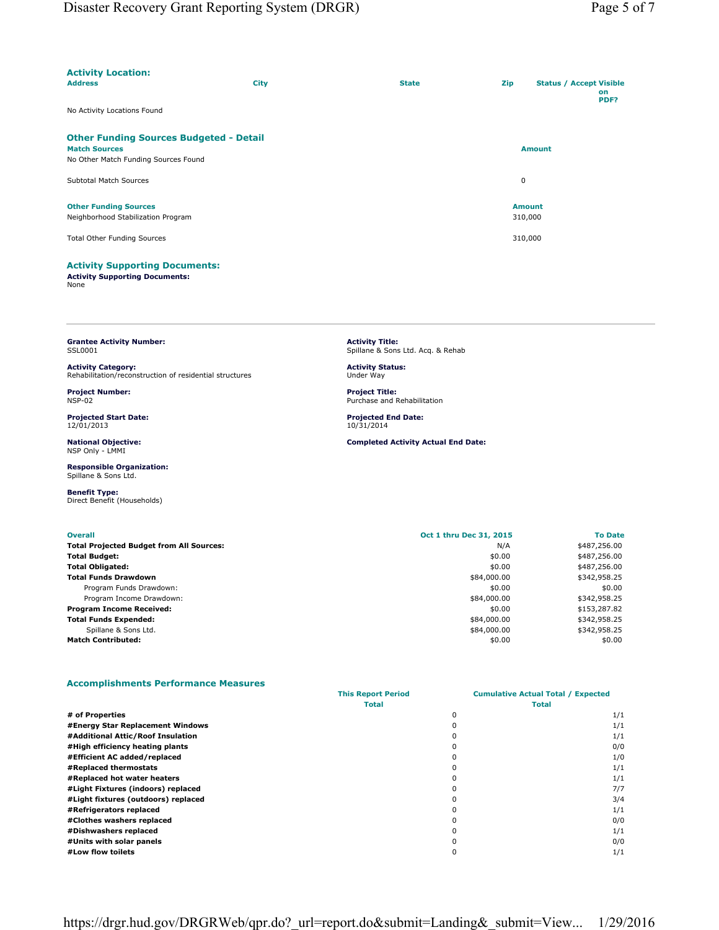| <b>Activity Location:</b>                                              |             |              |         |                                              |
|------------------------------------------------------------------------|-------------|--------------|---------|----------------------------------------------|
| <b>Address</b>                                                         | <b>City</b> | <b>State</b> | Zip     | <b>Status / Accept Visible</b><br>on<br>PDF? |
| No Activity Locations Found                                            |             |              |         |                                              |
| <b>Other Funding Sources Budgeted - Detail</b><br><b>Match Sources</b> |             |              |         |                                              |
| No Other Match Funding Sources Found                                   |             |              |         | <b>Amount</b>                                |
| Subtotal Match Sources                                                 |             |              | 0       |                                              |
| <b>Other Funding Sources</b>                                           |             |              |         | <b>Amount</b>                                |
| Neighborhood Stabilization Program                                     |             |              | 310,000 |                                              |
| <b>Total Other Funding Sources</b>                                     |             |              | 310,000 |                                              |
| <b>Activity Supporting Documents:</b>                                  |             |              |         |                                              |

**Activity Supporting Documents:** None

**Grantee Activity Number:** SSL0001

**Activity Category:** Rehabilitation/reconstruction of residential structures

**Project Number:** NSP-02

**Projected Start Date:** 12/01/2013

**National Objective:** NSP Only - LMMI

**Responsible Organization:** Spillane & Sons Ltd.

**Benefit Type:** Direct Benefit (Households)

| <b>Activity Title:</b><br>Spillane & Sons Ltd. Acg. & Rehab |  |
|-------------------------------------------------------------|--|
|                                                             |  |

**Activity Status:** Under Way

**Project Title:** Purchase and Rehabilitation

**Projected End Date:** 10/31/2014

#### **Completed Activity Actual End Date:**

| <b>Overall</b>                                  | Oct 1 thru Dec 31, 2015 | <b>To Date</b> |
|-------------------------------------------------|-------------------------|----------------|
| <b>Total Projected Budget from All Sources:</b> | N/A                     | \$487,256.00   |
| <b>Total Budget:</b>                            | \$0.00                  | \$487,256.00   |
| <b>Total Obligated:</b>                         | \$0.00                  | \$487,256.00   |
| <b>Total Funds Drawdown</b>                     | \$84,000.00             | \$342,958.25   |
| Program Funds Drawdown:                         | \$0.00                  | \$0.00         |
| Program Income Drawdown:                        | \$84,000.00             | \$342,958.25   |
| <b>Program Income Received:</b>                 | \$0.00                  | \$153,287.82   |
| <b>Total Funds Expended:</b>                    | \$84,000.00             | \$342,958.25   |
| Spillane & Sons Ltd.                            | \$84,000.00             | \$342,958.25   |
| <b>Match Contributed:</b>                       | \$0.00                  | \$0.00         |

### **Accomplishments Performance Measures**

|                                     | <b>This Report Period</b> | <b>Cumulative Actual Total / Expected</b> |     |  |
|-------------------------------------|---------------------------|-------------------------------------------|-----|--|
|                                     | Total                     | Total                                     |     |  |
| # of Properties                     |                           |                                           | 1/1 |  |
| #Energy Star Replacement Windows    |                           |                                           | 1/1 |  |
| #Additional Attic/Roof Insulation   |                           |                                           | 1/1 |  |
| #High efficiency heating plants     |                           |                                           | 0/0 |  |
| #Efficient AC added/replaced        |                           |                                           | 1/0 |  |
| #Replaced thermostats               |                           |                                           | 1/1 |  |
| #Replaced hot water heaters         |                           |                                           | 1/1 |  |
| #Light Fixtures (indoors) replaced  |                           |                                           | 7/7 |  |
| #Light fixtures (outdoors) replaced |                           |                                           | 3/4 |  |
| #Refrigerators replaced             |                           |                                           | 1/1 |  |
| #Clothes washers replaced           |                           |                                           | 0/0 |  |
| #Dishwashers replaced               |                           |                                           | 1/1 |  |
| #Units with solar panels            |                           |                                           | 0/0 |  |
| #Low flow toilets                   |                           |                                           | 1/1 |  |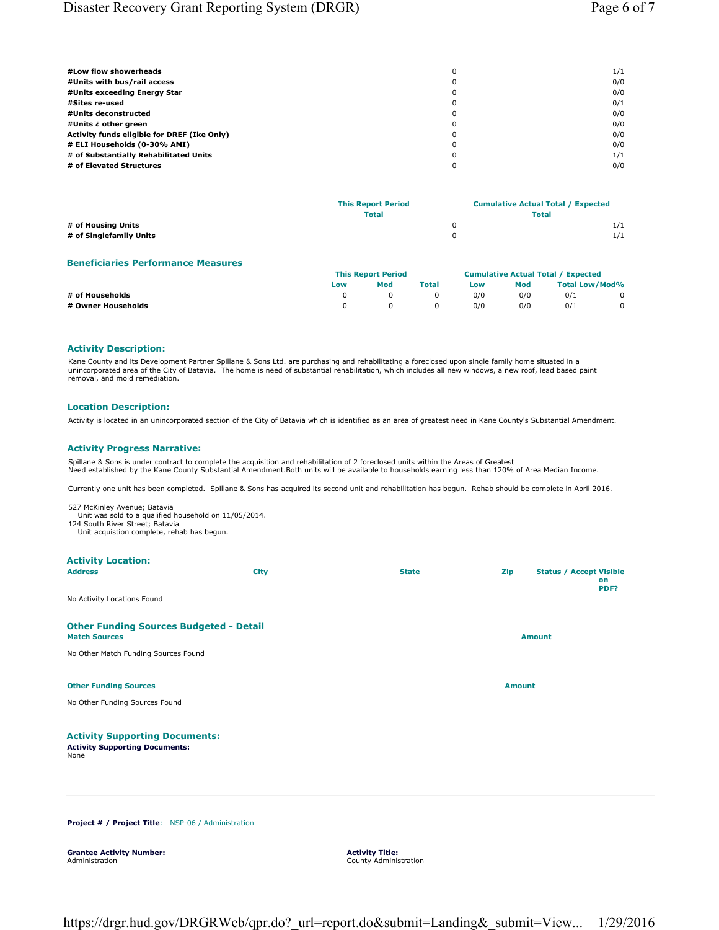| #Low flow showerheads                       | 0        | 1/1 |
|---------------------------------------------|----------|-----|
| #Units with bus/rail access                 | 0        | 0/0 |
| #Units exceeding Energy Star                | 0        | 0/0 |
| #Sites re-used                              | 0        | 0/1 |
| #Units deconstructed                        | 0        | 0/0 |
| #Units ¿ other green                        | 0        | 0/0 |
| Activity funds eligible for DREF (Ike Only) | $\Omega$ | 0/0 |
| # ELI Households (0-30% AMI)                | 0        | 0/0 |
| # of Substantially Rehabilitated Units      | 0        | 1/1 |
| # of Elevated Structures                    |          | 0/0 |

|                         | <b>This Report Period</b> | <b>Cumulative Actual Total / Expected</b> |
|-------------------------|---------------------------|-------------------------------------------|
|                         | <b>Total</b>              | <b>Total</b>                              |
| # of Housing Units      |                           | 1/1                                       |
| # of Singlefamily Units |                           | 1/1                                       |

## **Beneficiaries Performance Measures**

|                    | <b>This Report Period</b> |            |              | <b>Cumulative Actual Total / Expected</b> |     |                |              |
|--------------------|---------------------------|------------|--------------|-------------------------------------------|-----|----------------|--------------|
|                    | Low                       | Mod        | <b>Total</b> | Low                                       | Mod | Total Low/Mod% |              |
| # of Households    |                           |            |              | 0/0                                       | 0/0 | 0/1            | $\mathbf{0}$ |
| # Owner Households |                           | $^{\circ}$ |              | 0/0                                       | 0/0 | 0/1            | $\mathbf{0}$ |

# **Activity Description:**

Kane County and its Development Partner Spillane & Sons Ltd. are purchasing and rehabilitating a foreclosed upon single family home situated in a<br>unincorporated area of the City of Batavia. The home is need of substantial removal, and mold remediation.

#### **Location Description:**

Activity is located in an unincorporated section of the City of Batavia which is identified as an area of greatest need in Kane County's Substantial Amendment.

#### **Activity Progress Narrative:**

Spillane & Sons is under contract to complete the acquisition and rehabilitation of 2 foreclosed units within the Areas of Greatest Need established by the Kane County Substantial Amendment.Both units will be available to households earning less than 120% of Area Median Income.

Currently one unit has been completed. Spillane & Sons has acquired its second unit and rehabilitation has begun. Rehab should be complete in April 2016.

527 McKinley Avenue; Batavia Unit was sold to a qualified household on 11/05/2014.

124 South River Street; Batavia Unit acquistion complete, rehab has begun.

| <b>Activity Location:</b>                                                              |             |              |               |                                              |
|----------------------------------------------------------------------------------------|-------------|--------------|---------------|----------------------------------------------|
| <b>Address</b>                                                                         | <b>City</b> | <b>State</b> | Zip           | <b>Status / Accept Visible</b><br>on<br>PDF? |
| No Activity Locations Found                                                            |             |              |               |                                              |
| <b>Other Funding Sources Budgeted - Detail</b><br><b>Match Sources</b>                 |             |              |               | <b>Amount</b>                                |
| No Other Match Funding Sources Found                                                   |             |              |               |                                              |
| <b>Other Funding Sources</b>                                                           |             |              | <b>Amount</b> |                                              |
| No Other Funding Sources Found                                                         |             |              |               |                                              |
| <b>Activity Supporting Documents:</b><br><b>Activity Supporting Documents:</b><br>None |             |              |               |                                              |
|                                                                                        |             |              |               |                                              |

**Project # / Project Title**: NSP-06 / Administration

**Grantee Activity Number:** Administration

**Activity Title:** County Administration